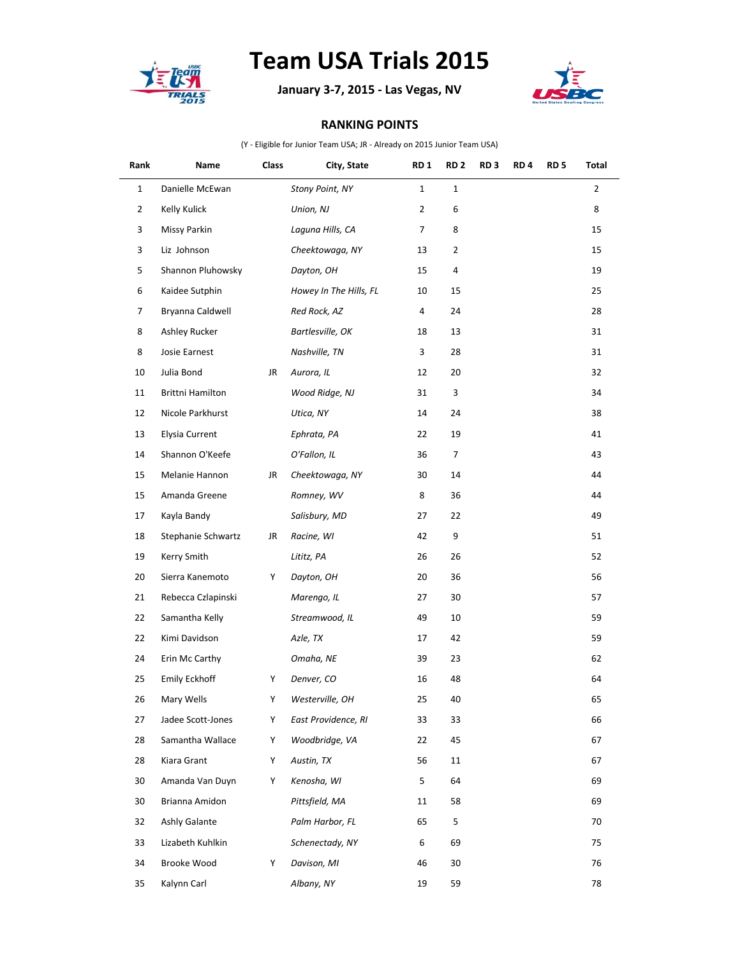

## **Team USA Trials 2015**

**January 3-7, 2015 - Las Vegas, NV**



## **RANKING POINTS**

(Y - Eligible for Junior Team USA; JR - Already on 2015 Junior Team USA)

| Rank           | Name                  | Class | City, State            | <b>RD1</b>   | RD <sub>2</sub> | RD <sub>3</sub> | RD <sub>4</sub> | RD <sub>5</sub> | Total          |
|----------------|-----------------------|-------|------------------------|--------------|-----------------|-----------------|-----------------|-----------------|----------------|
| $\mathbf{1}$   | Danielle McEwan       |       | Stony Point, NY        | $\mathbf{1}$ | $\mathbf 1$     |                 |                 |                 | $\overline{2}$ |
| $\overline{2}$ | Kelly Kulick          |       | Union, NJ              | 2            | 6               |                 |                 |                 | 8              |
| 3              | Missy Parkin          |       | Laguna Hills, CA       | 7            | 8               |                 |                 |                 | 15             |
| 3              | Liz Johnson           |       | Cheektowaga, NY        | 13           | $\overline{2}$  |                 |                 |                 | 15             |
| 5              | Shannon Pluhowsky     |       | Dayton, OH             | 15           | 4               |                 |                 |                 | 19             |
| 6              | Kaidee Sutphin        |       | Howey In The Hills, FL | 10           | 15              |                 |                 |                 | 25             |
| $\overline{7}$ | Bryanna Caldwell      |       | Red Rock, AZ           | 4            | 24              |                 |                 |                 | 28             |
| 8              | Ashley Rucker         |       | Bartlesville, OK       | 18           | 13              |                 |                 |                 | 31             |
| 8              | Josie Earnest         |       | Nashville, TN          | 3            | 28              |                 |                 |                 | 31             |
| 10             | Julia Bond            | JR    | Aurora, IL             | 12           | 20              |                 |                 |                 | 32             |
| 11             | Brittni Hamilton      |       | Wood Ridge, NJ         | 31           | 3               |                 |                 |                 | 34             |
| 12             | Nicole Parkhurst      |       | Utica, NY              | 14           | 24              |                 |                 |                 | 38             |
| 13             | <b>Elysia Current</b> |       | Ephrata, PA            | 22           | 19              |                 |                 |                 | 41             |
| 14             | Shannon O'Keefe       |       | O'Fallon, IL           | 36           | 7               |                 |                 |                 | 43             |
| 15             | Melanie Hannon        | JR    | Cheektowaga, NY        | 30           | 14              |                 |                 |                 | 44             |
| 15             | Amanda Greene         |       | Romney, WV             | 8            | 36              |                 |                 |                 | 44             |
| 17             | Kayla Bandy           |       | Salisbury, MD          | 27           | 22              |                 |                 |                 | 49             |
| 18             | Stephanie Schwartz    | JR    | Racine, WI             | 42           | 9               |                 |                 |                 | 51             |
| 19             | Kerry Smith           |       | Lititz, PA             | 26           | 26              |                 |                 |                 | 52             |
| 20             | Sierra Kanemoto       | Y     | Dayton, OH             | 20           | 36              |                 |                 |                 | 56             |
| 21             | Rebecca Czlapinski    |       | Marengo, IL            | 27           | 30              |                 |                 |                 | 57             |
| 22             | Samantha Kelly        |       | Streamwood, IL         | 49           | 10              |                 |                 |                 | 59             |
| 22             | Kimi Davidson         |       | Azle, TX               | 17           | 42              |                 |                 |                 | 59             |
| 24             | Erin Mc Carthy        |       | Omaha, NE              | 39           | 23              |                 |                 |                 | 62             |
| 25             | <b>Emily Eckhoff</b>  | Y     | Denver, CO             | 16           | 48              |                 |                 |                 | 64             |
| 26             | Mary Wells            | Υ     | Westerville, OH        | 25           | 40              |                 |                 |                 | 65             |
| 27             | Jadee Scott-Jones     | Y     | East Providence, RI    | 33           | 33              |                 |                 |                 | 66             |
| 28             | Samantha Wallace      | Y     | Woodbridge, VA         | 22           | 45              |                 |                 |                 | 67             |
| 28             | Kiara Grant           | Υ     | Austin, TX             | 56           | 11              |                 |                 |                 | 67             |
| 30             | Amanda Van Duyn       | Y     | Kenosha, WI            | 5            | 64              |                 |                 |                 | 69             |
| 30             | Brianna Amidon        |       | Pittsfield, MA         | 11           | 58              |                 |                 |                 | 69             |
| 32             | Ashly Galante         |       | Palm Harbor, FL        | 65           | 5               |                 |                 |                 | 70             |
| 33             | Lizabeth Kuhlkin      |       | Schenectady, NY        | 6            | 69              |                 |                 |                 | 75             |
| 34             | Brooke Wood           | Y     | Davison, MI            | 46           | 30              |                 |                 |                 | 76             |
| 35             | Kalynn Carl           |       | Albany, NY             | 19           | 59              |                 |                 |                 | 78             |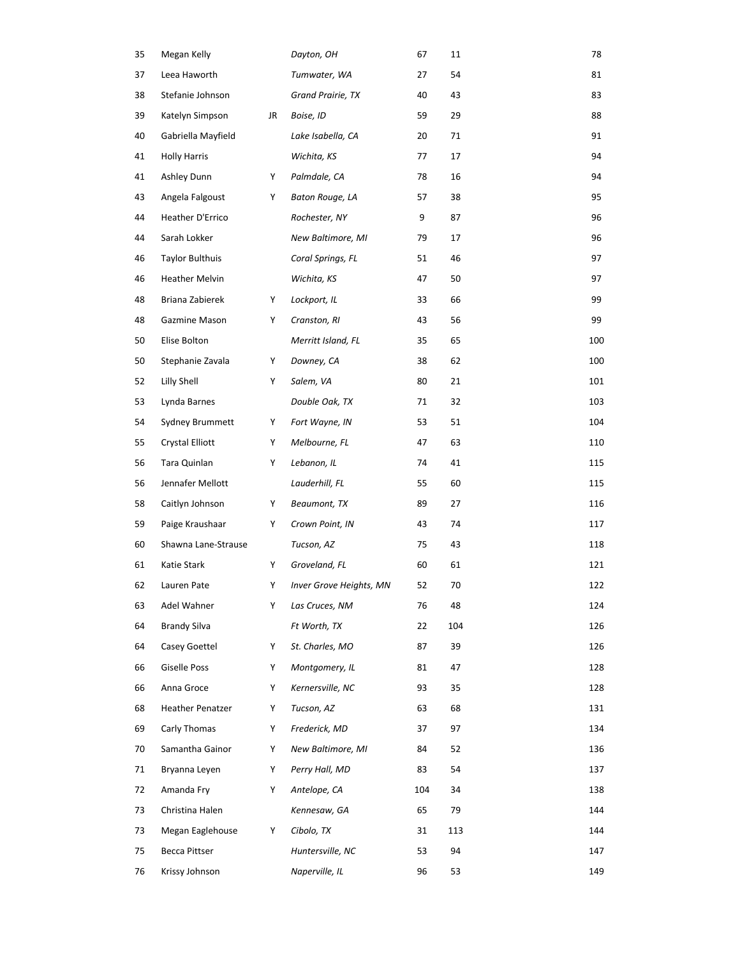| 35 | Megan Kelly             |    | Dayton, OH              | 67  | 11  | 78  |
|----|-------------------------|----|-------------------------|-----|-----|-----|
| 37 | Leea Haworth            |    | Tumwater, WA            | 27  | 54  | 81  |
| 38 | Stefanie Johnson        |    | Grand Prairie, TX       | 40  | 43  | 83  |
| 39 | Katelyn Simpson         | JR | Boise, ID               | 59  | 29  | 88  |
| 40 | Gabriella Mayfield      |    | Lake Isabella, CA       | 20  | 71  | 91  |
| 41 | <b>Holly Harris</b>     |    | Wichita, KS             | 77  | 17  | 94  |
| 41 | Ashley Dunn             | Y  | Palmdale, CA            | 78  | 16  | 94  |
| 43 | Angela Falgoust         | Y  | Baton Rouge, LA         | 57  | 38  | 95  |
| 44 | Heather D'Errico        |    | Rochester, NY           | 9   | 87  | 96  |
| 44 | Sarah Lokker            |    | New Baltimore, MI       | 79  | 17  | 96  |
| 46 | Taylor Bulthuis         |    | Coral Springs, FL       | 51  | 46  | 97  |
| 46 | Heather Melvin          |    | Wichita, KS             | 47  | 50  | 97  |
| 48 | Briana Zabierek         | Y  | Lockport, IL            | 33  | 66  | 99  |
| 48 | Gazmine Mason           | Υ  | Cranston, RI            | 43  | 56  | 99  |
| 50 | Elise Bolton            |    | Merritt Island, FL      | 35  | 65  | 100 |
| 50 | Stephanie Zavala        | Y  | Downey, CA              | 38  | 62  | 100 |
| 52 | Lilly Shell             | Y  | Salem, VA               | 80  | 21  | 101 |
| 53 | Lynda Barnes            |    | Double Oak, TX          | 71  | 32  | 103 |
| 54 | Sydney Brummett         | Y  | Fort Wayne, IN          | 53  | 51  | 104 |
| 55 | <b>Crystal Elliott</b>  | Y  | Melbourne, FL           | 47  | 63  | 110 |
| 56 | Tara Quinlan            | Y  | Lebanon, IL             | 74  | 41  | 115 |
| 56 | Jennafer Mellott        |    | Lauderhill, FL          | 55  | 60  | 115 |
| 58 | Caitlyn Johnson         | Y  | Beaumont, TX            | 89  | 27  | 116 |
| 59 | Paige Kraushaar         | Y  | Crown Point, IN         | 43  | 74  | 117 |
| 60 | Shawna Lane-Strause     |    | Tucson, AZ              | 75  | 43  | 118 |
| 61 | Katie Stark             | Y  | Groveland, FL           | 60  | 61  | 121 |
| 62 | Lauren Pate             | Υ  | Inver Grove Heights, MN | 52  | 70  | 122 |
| 63 | Adel Wahner             | Y  | Las Cruces, NM          | 76  | 48  | 124 |
| 64 | Brandy Silva            |    | Ft Worth, TX            | 22  | 104 | 126 |
| 64 | Casey Goettel           | Y  | St. Charles, MO         | 87  | 39  | 126 |
| 66 | Giselle Poss            | Y  | Montgomery, IL          | 81  | 47  | 128 |
| 66 | Anna Groce              | Y  | Kernersville, NC        | 93  | 35  | 128 |
| 68 | <b>Heather Penatzer</b> | Y  | Tucson, AZ              | 63  | 68  | 131 |
| 69 | Carly Thomas            | Y  | Frederick, MD           | 37  | 97  | 134 |
| 70 | Samantha Gainor         | Y  | New Baltimore, MI       | 84  | 52  | 136 |
| 71 | Bryanna Leyen           | Y  | Perry Hall, MD          | 83  | 54  | 137 |
| 72 | Amanda Fry              | Y  | Antelope, CA            | 104 | 34  | 138 |
| 73 | Christina Halen         |    | Kennesaw, GA            | 65  | 79  | 144 |
| 73 | Megan Eaglehouse        | Y  | Cibolo, TX              | 31  | 113 | 144 |
| 75 | <b>Becca Pittser</b>    |    | Huntersville, NC        | 53  | 94  | 147 |
| 76 | Krissy Johnson          |    | Naperville, IL          | 96  | 53  | 149 |